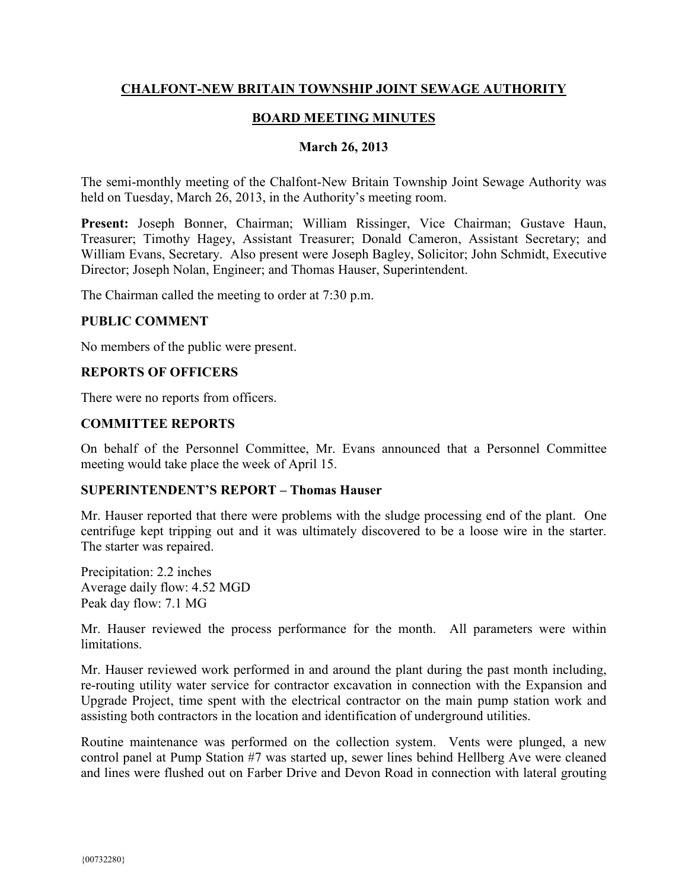# **CHALFONT-NEW BRITAIN TOWNSHIP JOINT SEWAGE AUTHORITY**

# **BOARD MEETING MINUTES**

#### **March 26, 2013**

The semi-monthly meeting of the Chalfont-New Britain Township Joint Sewage Authority was held on Tuesday, March 26, 2013, in the Authority's meeting room.

**Present:** Joseph Bonner, Chairman; William Rissinger, Vice Chairman; Gustave Haun, Treasurer; Timothy Hagey, Assistant Treasurer; Donald Cameron, Assistant Secretary; and William Evans, Secretary. Also present were Joseph Bagley, Solicitor; John Schmidt, Executive Director; Joseph Nolan, Engineer; and Thomas Hauser, Superintendent.

The Chairman called the meeting to order at 7:30 p.m.

#### **PUBLIC COMMENT**

No members of the public were present.

## **REPORTS OF OFFICERS**

There were no reports from officers.

## **COMMITTEE REPORTS**

On behalf of the Personnel Committee, Mr. Evans announced that a Personnel Committee meeting would take place the week of April 15.

#### **SUPERINTENDENT'S REPORT – Thomas Hauser**

Mr. Hauser reported that there were problems with the sludge processing end of the plant. One centrifuge kept tripping out and it was ultimately discovered to be a loose wire in the starter. The starter was repaired.

Precipitation: 2.2 inches Average daily flow: 4.52 MGD Peak day flow: 7.1 MG

Mr. Hauser reviewed the process performance for the month. All parameters were within **limitations** 

Mr. Hauser reviewed work performed in and around the plant during the past month including, re-routing utility water service for contractor excavation in connection with the Expansion and Upgrade Project, time spent with the electrical contractor on the main pump station work and assisting both contractors in the location and identification of underground utilities.

Routine maintenance was performed on the collection system. Vents were plunged, a new control panel at Pump Station #7 was started up, sewer lines behind Hellberg Ave were cleaned and lines were flushed out on Farber Drive and Devon Road in connection with lateral grouting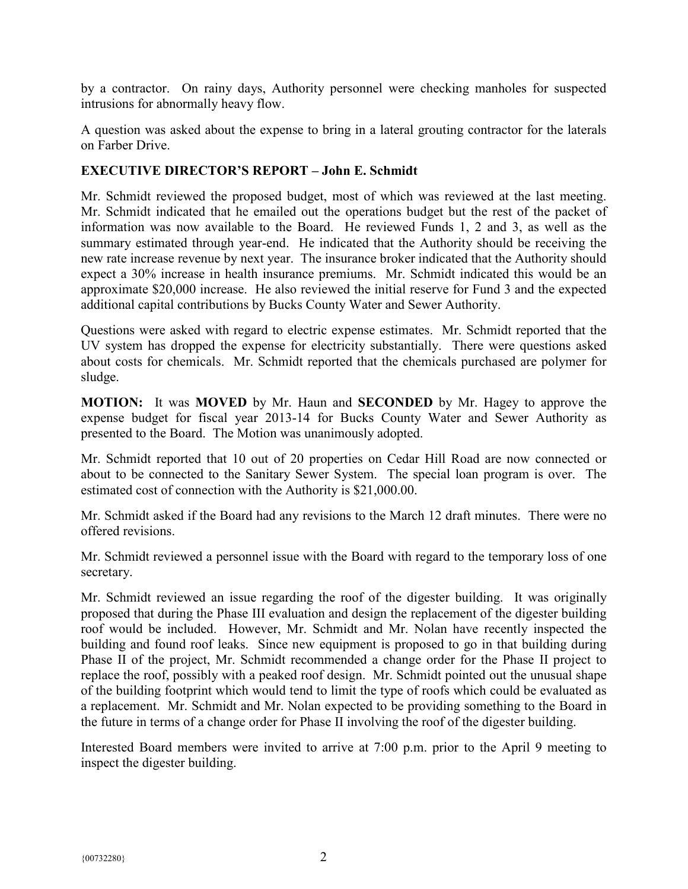by a contractor. On rainy days, Authority personnel were checking manholes for suspected intrusions for abnormally heavy flow.

A question was asked about the expense to bring in a lateral grouting contractor for the laterals on Farber Drive.

# **EXECUTIVE DIRECTOR'S REPORT – John E. Schmidt**

Mr. Schmidt reviewed the proposed budget, most of which was reviewed at the last meeting. Mr. Schmidt indicated that he emailed out the operations budget but the rest of the packet of information was now available to the Board. He reviewed Funds 1, 2 and 3, as well as the summary estimated through year-end. He indicated that the Authority should be receiving the new rate increase revenue by next year. The insurance broker indicated that the Authority should expect a 30% increase in health insurance premiums. Mr. Schmidt indicated this would be an approximate \$20,000 increase. He also reviewed the initial reserve for Fund 3 and the expected additional capital contributions by Bucks County Water and Sewer Authority.

Questions were asked with regard to electric expense estimates. Mr. Schmidt reported that the UV system has dropped the expense for electricity substantially. There were questions asked about costs for chemicals. Mr. Schmidt reported that the chemicals purchased are polymer for sludge.

**MOTION:** It was **MOVED** by Mr. Haun and **SECONDED** by Mr. Hagey to approve the expense budget for fiscal year 2013-14 for Bucks County Water and Sewer Authority as presented to the Board. The Motion was unanimously adopted.

Mr. Schmidt reported that 10 out of 20 properties on Cedar Hill Road are now connected or about to be connected to the Sanitary Sewer System. The special loan program is over. The estimated cost of connection with the Authority is \$21,000.00.

Mr. Schmidt asked if the Board had any revisions to the March 12 draft minutes. There were no offered revisions.

Mr. Schmidt reviewed a personnel issue with the Board with regard to the temporary loss of one secretary.

Mr. Schmidt reviewed an issue regarding the roof of the digester building. It was originally proposed that during the Phase III evaluation and design the replacement of the digester building roof would be included. However, Mr. Schmidt and Mr. Nolan have recently inspected the building and found roof leaks. Since new equipment is proposed to go in that building during Phase II of the project, Mr. Schmidt recommended a change order for the Phase II project to replace the roof, possibly with a peaked roof design. Mr. Schmidt pointed out the unusual shape of the building footprint which would tend to limit the type of roofs which could be evaluated as a replacement. Mr. Schmidt and Mr. Nolan expected to be providing something to the Board in the future in terms of a change order for Phase II involving the roof of the digester building.

Interested Board members were invited to arrive at 7:00 p.m. prior to the April 9 meeting to inspect the digester building.